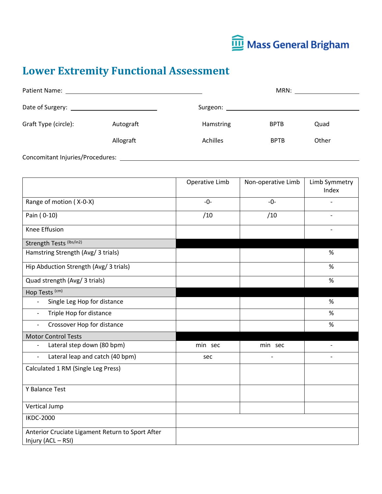

## **Lower Extremity Functional Assessment**

|                                  |           | MRN:      |             |       |
|----------------------------------|-----------|-----------|-------------|-------|
|                                  |           | Surgeon:  |             |       |
| Graft Type (circle):             | Autograft | Hamstring | <b>BPTB</b> | Quad  |
|                                  | Allograft | Achilles  | <b>BPTB</b> | Other |
| Concomitant Injuries/Procedures: |           |           |             |       |

|                                                                        | Operative Limb | Non-operative Limb       | Limb Symmetry<br>Index   |
|------------------------------------------------------------------------|----------------|--------------------------|--------------------------|
| Range of motion (X-0-X)                                                | $-0-$          | $-0-$                    |                          |
| Pain (0-10)                                                            | /10            | /10                      |                          |
| Knee Effusion                                                          |                |                          |                          |
| Strength Tests (lbs/in2)                                               |                |                          |                          |
| Hamstring Strength (Avg/ 3 trials)                                     |                |                          | $\%$                     |
| Hip Abduction Strength (Avg/ 3 trials)                                 |                |                          | %                        |
| Quad strength (Avg/ 3 trials)                                          |                |                          | $\%$                     |
| Hop Tests <sup>(cm)</sup>                                              |                |                          |                          |
| Single Leg Hop for distance                                            |                |                          | %                        |
| Triple Hop for distance<br>$\overline{\phantom{a}}$                    |                |                          | $\%$                     |
| Crossover Hop for distance                                             |                |                          | $\%$                     |
| <b>Motor Control Tests</b>                                             |                |                          |                          |
| Lateral step down (80 bpm)                                             | min sec        | min sec                  |                          |
| Lateral leap and catch (40 bpm)<br>$\frac{1}{2}$                       | sec            | $\overline{\phantom{a}}$ | $\overline{\phantom{a}}$ |
| Calculated 1 RM (Single Leg Press)                                     |                |                          |                          |
| Y Balance Test                                                         |                |                          |                          |
| Vertical Jump                                                          |                |                          |                          |
| <b>IKDC-2000</b>                                                       |                |                          |                          |
| Anterior Cruciate Ligament Return to Sport After<br>Injury (ACL - RSI) |                |                          |                          |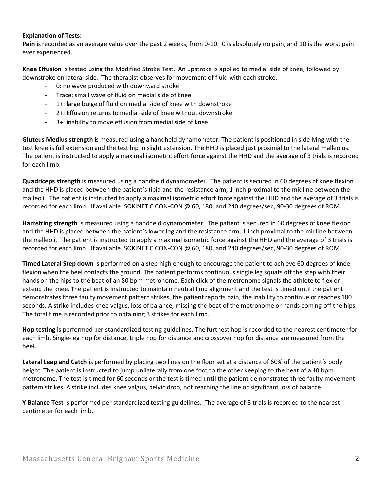## **Explanation of Tests:**

**Pain** is recorded as an average value over the past 2 weeks, from 0-10. 0 is absolutely no pain, and 10 is the worst pain ever experienced.

**Knee Effusion** is tested using the Modified Stroke Test. An upstroke is applied to medial side of knee, followed by downstroke on lateral side. The therapist observes for movement of fluid with each stroke.

- 0: no wave produced with downward stroke
- Trace: small wave of fluid on medial side of knee
- 1+: large bulge of fluid on medial side of knee with downstroke
- 2+: Effusion returns to medial side of knee without downstroke
- 3+: inability to move effusion from medial side of knee

**Gluteus Medius strength** is measured using a handheld dynamometer. The patient is positioned in side lying with the test knee is full extension and the test hip in slight extension. The HHD is placed just proximal to the lateral malleolus. The patient is instructed to apply a maximal isometric effort force against the HHD and the average of 3 trials is recorded for each limb.

**Quadriceps strength** is measured using a handheld dynamometer. The patient is secured in 60 degrees of knee flexion and the HHD is placed between the patient's tibia and the resistance arm, 1 inch proximal to the midline between the malleoli. The patient is instructed to apply a maximal isometric effort force against the HHD and the average of 3 trials is recorded for each limb. If available ISOKINETIC CON-CON @ 60, 180, and 240 degrees/sec, 90-30 degrees of ROM.

**Hamstring strength** is measured using a handheld dynamometer. The patient is secured in 60 degrees of knee flexion and the HHD is placed between the patient's lower leg and the resistance arm, 1 inch proximal to the midline between the malleoli. The patient is instructed to apply a maximal isometric force against the HHD and the average of 3 trials is recorded for each limb. If available ISOKINETIC CON-CON @ 60, 180, and 240 degrees/sec, 90-30 degrees of ROM.

**Timed Lateral Step down** is performed on a step high enough to encourage the patient to achieve 60 degrees of knee flexion when the heel contacts the ground. The patient performs continuous single leg squats off the step with their hands on the hips to the beat of an 80 bpm metronome. Each click of the metronome signals the athlete to flex or extend the knee. The patient is instructed to maintain neutral limb alignment and the test is timed until the patient demonstrates three faulty movement pattern strikes, the patient reports pain, the inability to continue or reaches 180 seconds. A strike includes knee valgus, loss of balance, missing the beat of the metronome or hands coming off the hips. The total time is recorded prior to obtaining 3 strikes for each limb.

**Hop testing** is performed per standardized testing guidelines. The furthest hop is recorded to the nearest centimeter for each limb. Single-leg hop for distance, triple hop for distance and crossover hop for distance are measured from the heel.

**Lateral Leap and Catch** is performed by placing two lines on the floor set at a distance of 60% of the patient's body height. The patient is instructed to jump unilaterally from one foot to the other keeping to the beat of a 40 bpm metronome. The test is timed for 60 seconds or the test is timed until the patient demonstrates three faulty movement pattern strikes. A strike includes knee valgus, pelvic drop, not reaching the line or significant loss of balance.

**Y Balance Test** is performed per standardized testing guidelines. The average of 3 trials is recorded to the nearest centimeter for each limb.